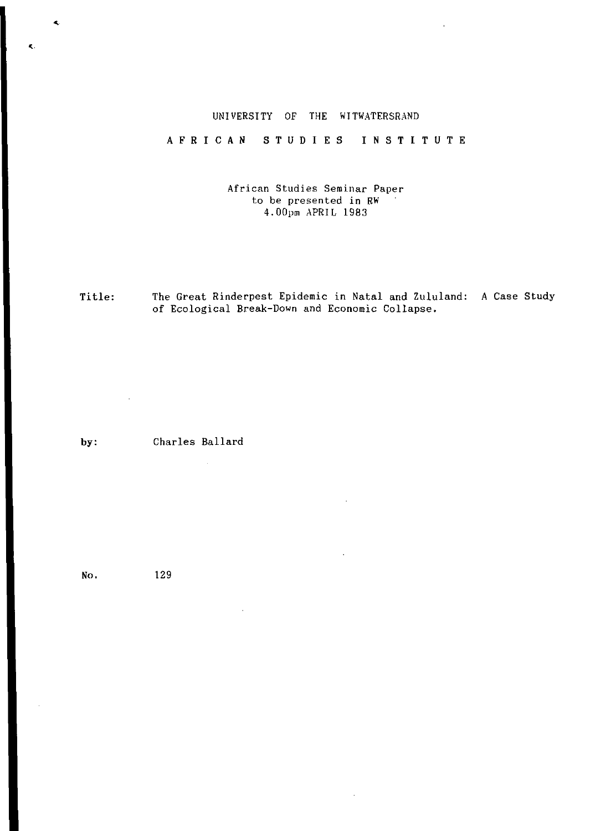### UNIVERSITY OF THE WITWATERSRAND

AFRICA N STUDIE S INSTITUT E

African Studies Seminar Paper to be presented in RW 4.00pm APRIL 1983

Title: The Great Rinderpest Epidemic in Natal and Zululand: A Case Study of Ecological Break-Down and Economic Collapse.

by: Charles Ballard

 $\sim$ 

No. 129

 $\mathbb{R}^2$ 

 $\blacktriangleleft$ 

 $\epsilon$ .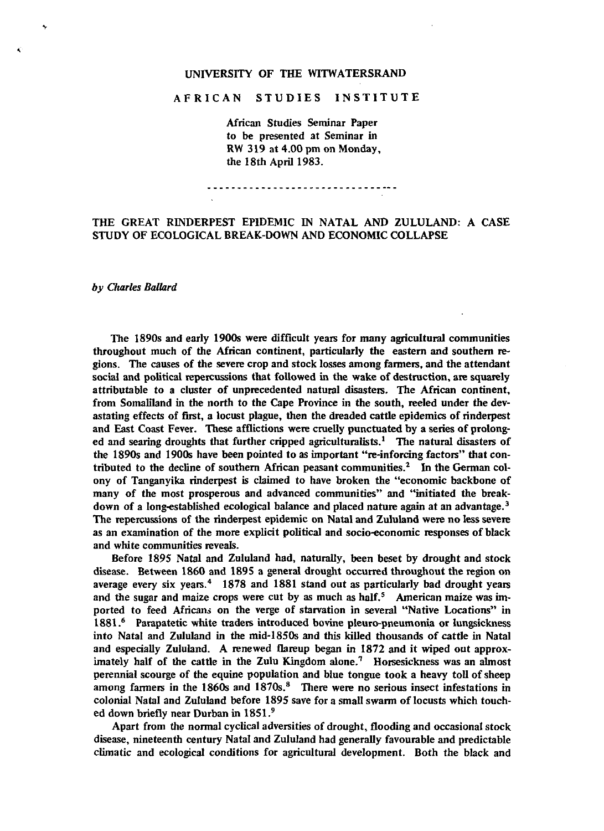### UNIVERSITY OF THE WITWATERSRAND

# AFRICAN STUDIES INSTITUTE

African Studies Seminar Paper to be presented at Seminar in RW 319 at 4.00 pm on Monday, the 18th April 1983.

## THE GREAT RINDERPEST EPIDEMIC IN NATAL AND ZULULAND: A CASE STUDY OF ECOLOGICAL BREAK-DOWN AND ECONOMIC COLLAPSE

#### *by Charles Ballard*

The 1890s and early 1900s were difficult years for many agricultural communities throughout much of the African continent, particularly the eastern and southern regions. The causes of the severe crop and stock losses among farmers, and the attendant social and political repercussions that followed in the wake of destruction, are squarely attributable to a cluster of unprecedented natural disasters. The African continent, from Somaliland in the north to the Cape Province in the south, reeled under the devastating effects of first, a locust plague, then the dreaded cattle epidemics of rinderpest and East Coast Fever. These afflictions were cruelly punctuated by a series of prolonged and searing droughts that further cripped agriculturalists.<sup>1</sup> The natural disasters of the 1890s and 1900s have been pointed to as important "re-inforcing factors" that contributed *to* the decline of southern African peasant communities.<sup>2</sup> In the German colony of Tanganyika rinderpest is claimed to have broken the "economic backbone of many of the most prosperous and advanced communities" and "initiated the breakdown of a long-established ecological balance and placed nature again at an advantage.<sup>3</sup> The repercussions of the rinderpest epidemic on Natal and Zululand were no less severe as an examination of the more explicit political and socio-economic responses of black and white communities reveals.

Before 1895 Natal and Zululand had, naturally, been beset by drought and stock disease. Between 1860 and 1895 a general drought occurred throughout the region on average every six years.<sup>4</sup> 1878 and 1881 stand out as particularly bad drought years and the sugar and maize crops were cut by as much as half.<sup>5</sup> American maize was imported to feed Africans on the verge of starvation in several "Native Locations" in .<br>1881.<sup>6</sup> Parapatetic white traders introduced bovine pleuro-pneumonia or lungsickness into Natal and Zululand in the mid-1850s and this killed thousands of cattle in Natal and especially Zululand. A renewed flareup began in 1872 and it wiped out approximately half of the cattle in the Zulu Kingdom alone.<sup>7</sup> Horsesickness was an almost perennial scourge of the equine population and blue tongue took a heavy toll of sheep among farmers in the 1860s and 1870s.<sup>8</sup> There were no serious insect infestations in colonial Natal and Zululand before 1895 save for a small swarm of locusts which touched down briefly near Durban in 1851.<sup>9</sup>

Apart from the normal cyclical adversities of drought, flooding and occasional stock disease, nineteenth century Natal and Zululand had generally favourable and predictable climatic and ecological conditions for agricultural development. Both the black and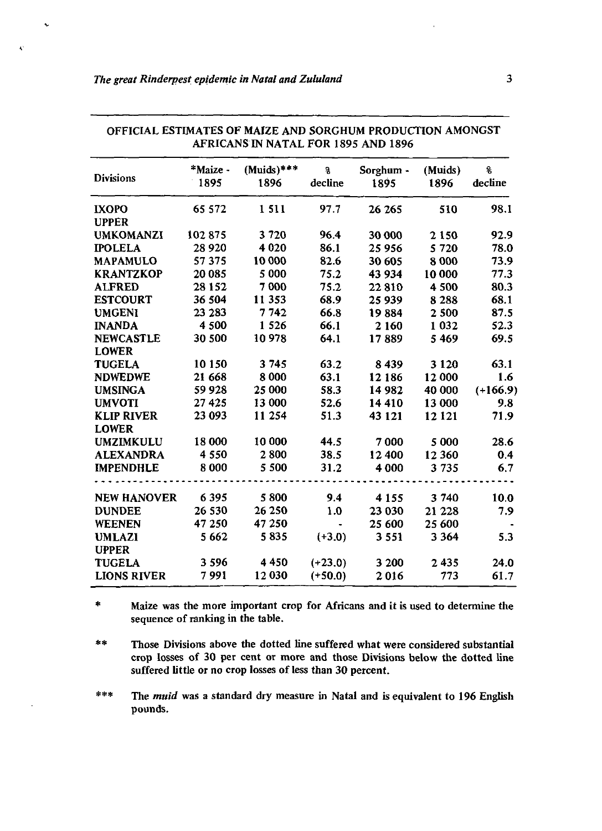$\sim$ 

| AFRICAINS IN NATAL FOR 1895 AND 1896 |                  |                      |              |                   |                 |               |
|--------------------------------------|------------------|----------------------|--------------|-------------------|-----------------|---------------|
| <b>Divisions</b>                     | *Maize -<br>1895 | $(Muids)***$<br>1896 | g<br>decline | Sorghum -<br>1895 | (Muids)<br>1896 | ę.<br>decline |
| <b>IXOPO</b>                         | 65 572           | 1511                 | 97.7         | 26 26 5           | 510             | 98.1          |
| <b>UPPER</b>                         |                  |                      |              |                   |                 |               |
| <b>UMKOMANZI</b>                     | 102875           | 3720                 | 96.4         | 30 000            | 2 1 5 0         | 92.9          |
| <b>IPOLELA</b>                       | 28 9 20          | 4 0 2 0              | 86.1         | 25 956            | 5 7 2 0         | 78.0          |
| <b>MAPAMULO</b>                      | 57375            | 10 000               | 82.6         | 30 605            | 8 0 0 0         | 73.9          |
| <b>KRANTZKOP</b>                     | 20 085           | 5 0 0 0              | 75.2         | 43 934            | 10 000          | 77.3          |
| <b>ALFRED</b>                        | 28 1 5 2         | 7 0 0 0              | 75.2         | 22810             | 4 500           | 80.3          |
| <b>ESTCOURT</b>                      | 36 504           | 11 353               | 68.9         | 25 939            | 8 2 8 8         | 68.1          |
| <b>UMGENI</b>                        | 23 283           | 7742                 | 66.8         | 19884             | 2 500           | 87.5          |
| <b>INANDA</b>                        | 4 500            | 1 5 2 6              | 66.1         | 2 1 6 0           | 1 0 3 2         | 52.3          |
| <b>NEWCASTLE</b>                     | 30 500           | 10978                | 64.1         | 17889             | 5 4 6 9         | 69.5          |
| <b>LOWER</b>                         |                  |                      |              |                   |                 |               |
| <b>TUGELA</b>                        | 10 150           | 3745                 | 63.2         | 8439              | 3 1 2 0         | 63.1          |
| <b>NDWEDWE</b>                       | 21 668           | 8 0 0 0              | 63.1         | 12 18 6           | 12 000          | 1.6           |
| <b>UMSINGA</b>                       | 59 928           | 25 000               | 58.3         | 14 982            | 40 000          | $(+166.9)$    |
| <b>UMVOTI</b>                        | 27 4 25          | 13 000               | 52.6         | 14 4 10           | 13 000          | 9.8           |
| <b>KLIP RIVER</b>                    | 23 093           | 11 254               | 51.3         | 43 1 21           | 12 1 21         | 71.9          |
| <b>LOWER</b>                         |                  |                      |              |                   |                 |               |
| <b>UMZIMKULU</b>                     | 18 000           | 10 000               | 44.5         | 7000              | 5 000           | 28.6          |
| <b>ALEXANDRA</b>                     | 4 5 5 0          | 2800                 | 38.5         | 12 400            | 12 360          | 0.4           |
| <b>IMPENDHLE</b>                     | 8 0 0 0          | 5 500                | 31.2         | 4 000             | 3 7 3 5         | 6.7           |
| <b>NEW HANOVER</b>                   | 6 3 9 5          | 5800                 | 9.4          | 4 1 5 5           | 3 740           | 10.0          |
| <b>DUNDEE</b>                        | 26 530           | 26 250               | 1.0          | 23 030            | 21 2 28         | 7.9           |
| <b>WEENEN</b>                        | 47 250           | 47 250               |              | 25 600            | 25 600          |               |
| <b>UMLAZI</b>                        | 5 6 6 2          | 5835                 | $(+3.0)$     | 3 5 5 1           | 3 3 6 4         | 5.3           |
| <b>UPPER</b>                         |                  |                      |              |                   |                 |               |
| <b>TUGELA</b>                        | 3 5 9 6          | 4450                 | $(+23.0)$    | 3 200             | 2435            | 24.0          |
| <b>LIONS RIVER</b>                   | 7991             | 12 030               | $(+50.0)$    | 2016              | 773             | 61.7          |

OFFICIAL ESTIMATES OF MAIZE AND SORGHUM PRODUCTION AMONGST AFRICANS IN NATAL FOR 1895 AND 1896

 $\approx$ Maize was the more important crop for Africans and it is used to determine the sequence of ranking in the table.

**\*#** Those Divisions above the dotted line suffered what were considered substantial crop losses of 30 per cent or more and those Divisions below the dotted line suffered little or no crop losses of less than 30 percent.

 $* * *$ The *muid* was a standard dry measure in Natal and is equivalent to 196 English pounds.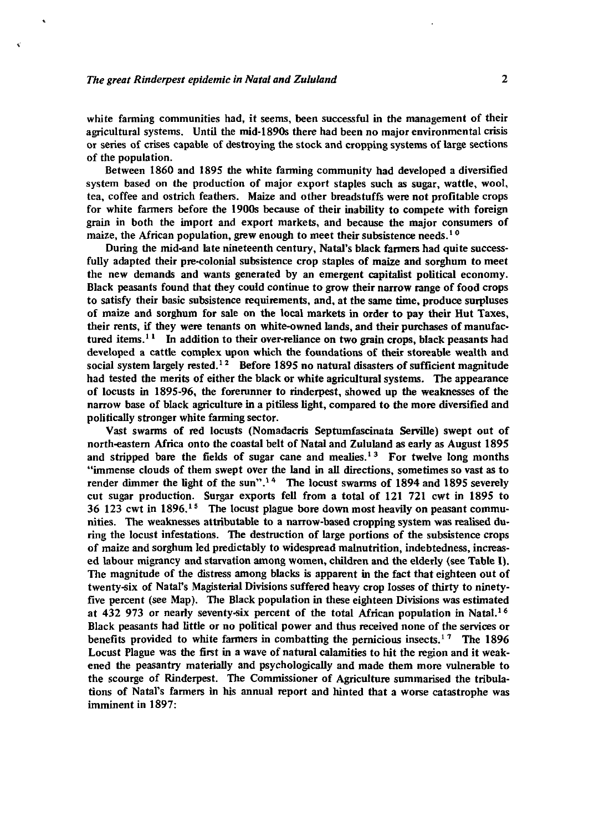white farming communities had, it seems, been successful in the management of their agricultural systems. Until the mid-1890s there had been no major environmental crisis or series of crises capable of destroying the stock and cropping systems of large sections of the population.

Between 1860 and 1895 the white farming community had developed a diversified system based on the production of major export staples such as sugar, wattle, wool, tea, coffee and ostrich feathers. Maize and other breadstuffs were not profitable crops for white farmers before the 1900s because of their inability to compete with foreign grain in both the import and export markets, and because the major consumers of maize, the African population, grew enough to meet their subsistence needs.<sup>10</sup>

During the mid-and late nineteenth century, Natal's black farmers had quite successfully adapted their pre-colonial subsistence crop staples of maize and sorghum to meet the new demands and wants generated by an emergent capitalist political economy. Black peasants found that they could continue to grow their narrow range of food crops to satisfy their basic subsistence requirements, and, at the same time, produce surpluses of maize and sorghum for sale on the local markets in order to pay their Hut Taxes, their rents, if they were tenants on white-owned lands, and their purchases of manufactured items.<sup>11</sup> In addition to their over-reliance on two grain crops, black peasants had developed a cattle complex upon which the foundations of their storeable wealth and social system largely rested.<sup>12</sup> Before 1895 no natural disasters of sufficient magnitude had tested the merits of either the black or white agricultural systems. The appearance of locusts in 1895-96, the forerunner to rinderpest, showed up the weaknesses of the narrow base of black agriculture in a pitiless light, compared to the more diversified and politically stronger white farming sector.

Vast swarms of red locusts (Nomadacris Septumfascinata Serville) swept out of north-eastern Africa onto the coastal belt of Natal and Zululand as early as August 1895 and stripped bare the fields of sugar cane and mealies.<sup>13</sup> For twelve long months "immense clouds of them swept over the land in all directions, sometimes so vast as to render dimmer the light of the sun".<sup>14</sup> The locust swarms of 1894 and 1895 severely cut sugar production. Surgar exports fell from a total of 121 721 cwt in 1895 to  $36\,123$  cwt in  $1896$ <sup>15</sup> The locust plague bore down most heavily on peasant communities. The weaknesses attributable to a narrow-based cropping system was realised during the locust infestations. The destruction of large portions of the subsistence crops of maize and sorghum led predictably to widespread malnutrition, indebtedness, increased labour migrancy and starvation among women, children and the elderly (see Table I). The magnitude of the distress among blacks is apparent in the fact that eighteen out of twenty-six of Natal's Magisterial Divisions suffered heavy crop losses of thirty to ninetyfive percent (see Map). The Black population in these eighteen Divisions was estimated at 432 973 or nearly seventy-six percent of the total African population in Natal.<sup>16</sup> Black peasants had little or no political power and thus received none of the services or black peasants had fitte of no political power and thus received none of the services of  $\mu$ Locust Plague was the first in a wave of natural calamities to hit the region and it weakened the peasantry materially and psychologically and made them more vulnerable to the scourge of Rinderpest. The Commissioner of Agriculture summarised the tribulations of Natal's farmers in his annual report and hinted that a worse catastrophe was imminent in 1897: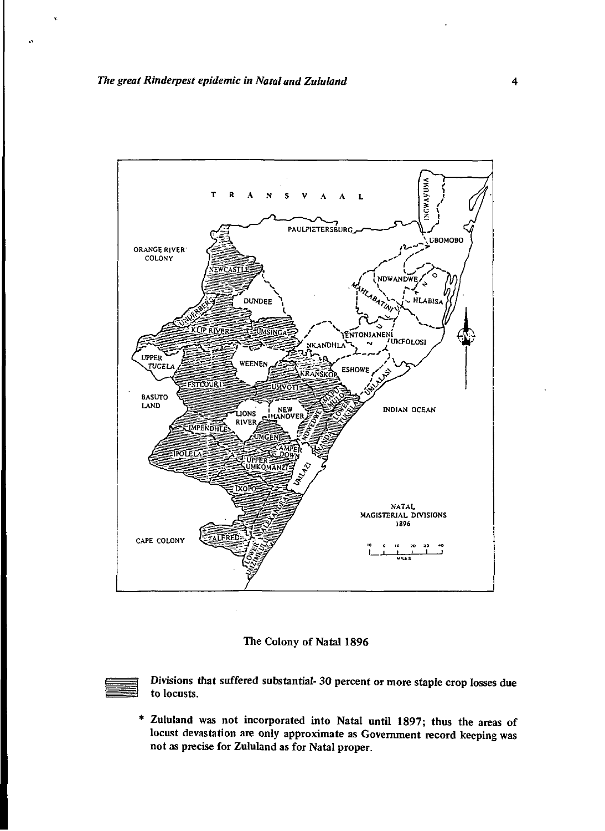

### The Colony of Natal 1896



Divisions that suffered substantial- 30 percent or more staple crop losses due to locusts.

\* Zululand was not incorporated into Natal until 1897; thus the areas of locust devastation arc only approximate as Government record keeping was not as precise for Zululand as for Natal proper.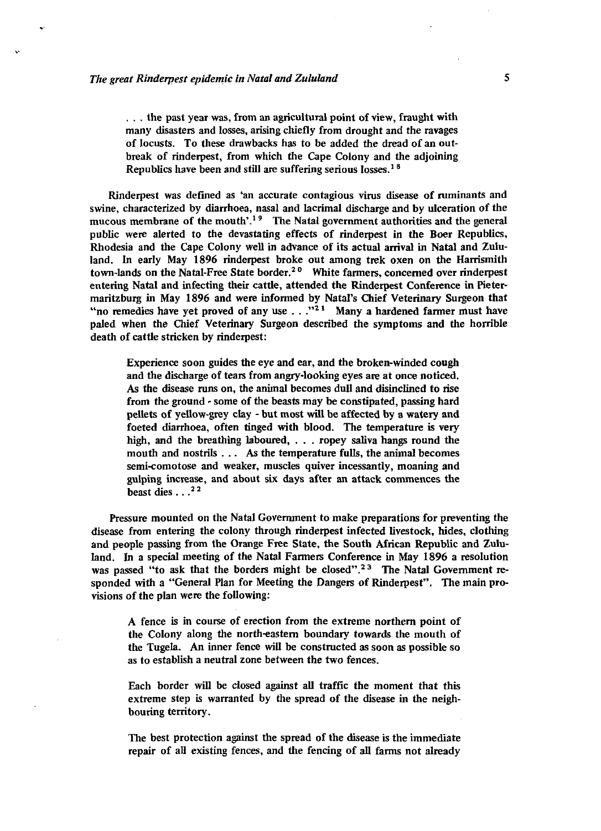. . . the past year was, from an agricultural point of view, fraught with many disasters and losses, arising chiefly from drought and the ravages of locusts. To these drawbacks has to be added the dread of an outbreak of rinderpest, from which the Cape Colony and the adjoining Republics have been and still are suffering serious losses.<sup>18</sup>

Rinderpest was defined as 'an accurate contagious virus disease of ruminants and swine, characterized by diarrhoea, nasal and lacrimal discharge and by ulceration of the mucous membrane of the mouth'.<sup>1</sup>*<sup>9</sup>* The Natal government authorities and the general public were alerted to the devastating effects of rinderpest in the Boer Republics, Rhodesia and the Cape Colony well in advance of its actual arrival in Natal and Zululand. In early May 1896 rinderpest broke out among trek oxen on the Harrismith town-lands on the Natal-Free State border.<sup>20</sup> White farmers, concerned over rinderpest entering Natal and infecting their cattle, attended the Rinderpest Conference in Pietermaritzburg in May 1896 and were informed by Natal's Chief Veterinary Surgeon that "no remedies have yet proved of any use . . ."<sup>21</sup> Many a hardened farmer must have paled when the Chief Veterinary Surgeon described the symptoms and the horrible death of cattle stricken by rinderpest:

Experience soon guides the eye and ear, and the broken-winded cough and the discharge of tears from angry-looking eyes are at once noticed. As the disease runs on, the animal becomes dull and disinclined to rise from the ground - some of the beasts may be constipated, passing hard pellets of yellow-grey clay - but most will be affected by a watery and foeted diarrhoea, often tinged with blood. The temperature is very high, and the breathing laboured, . . . ropey saliva hangs round the mouth and nostrils .. . As the temperature fulls, the animal becomes semi-comotose and weaker, muscles quiver incessantly, moaning and gulping increase, and about six days after an attack commences the beast dies .. *}<sup>2</sup>*

Pressure mounted on the Natal Government to make preparations for preventing the disease from entering the colony through rinderpest infected livestock, hides, clothing and people passing from the Orange Free State, the South African Republic and Zululand. In a special meeting of the Natal Farmers Conference in May 1896 a resolution was passed "to ask that the borders might be closed".<sup>23</sup> The Natal Government responded with a "General Plan for Meeting the Dangers of Rinderpest". The main provisions of the plan were the following:

A fence is in course of erection from the extreme northern point of the Colony along the north-eastern boundary towards the mouth of the Tugela. An inner fence will be constructed as soon as possible so as to establish a neutral zone between the two fences.

Each border will be closed against all traffic the moment that this extreme step is warranted by the spread of the disease in the neighbouring territory.

The best protection against the spread of the disease is the immediate repair of all existing fences, and the fencing of all farms not already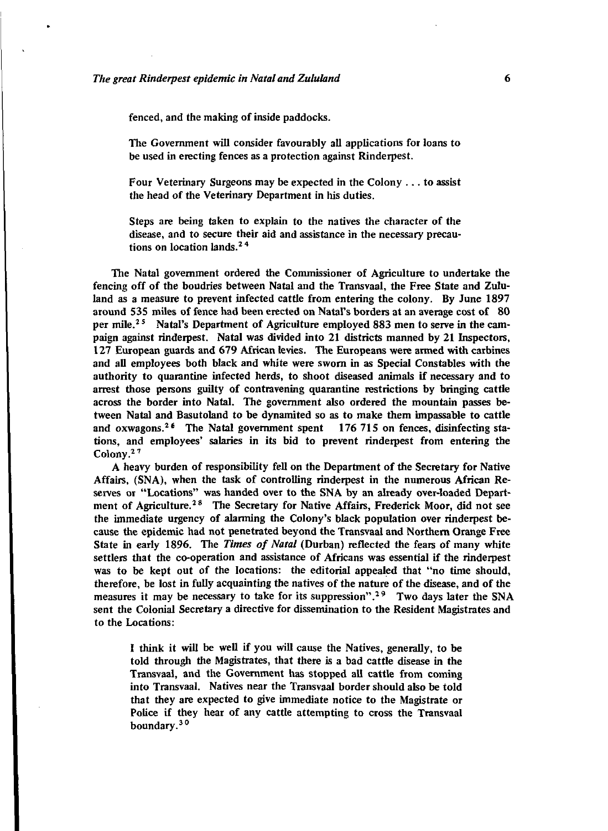fenced, and the making of inside paddocks.

The Government will consider favourably all applications for loans to be used in erecting fences as a protection against Rinderpest.

Four Veterinary Surgeons may be expected in the Colony .. . to assist the head of the Veterinary Department in his duties.

Steps are being taken to explain to the natives the character of the disease, and to secure their aid and assistance in the necessary precautions on location lands.2 4

The Natal government ordered the Commissioner of Agriculture *to* undertake the fencing off of the boudries between Natal and the Transvaal, the Free State and Zululand as a measure to prevent infected cattle from entering the colony. By June 1897 around 535 miles of fence had been erected on Natal's borders at an average cost of SO per mile.<sup>25</sup> Natal's Department of Agriculture employed 883 men to serve in the campaign against rinderpest. Natal was divided into 21 districts manned by 21 Inspectors, 127 European guards and 679 African levies. The Europeans were armed with carbines and all employees both black and white were sworn in as Special Constables with the authority to quarantine infected herds, to shoot diseased animals if necessary and to arrest those persons guilty of contravening quarantine restrictions by bringing cattle across the border into Natal. The government also ordered the mountain passes between Natal and Basutoland to be dynamited so as to make them impassable to cattle and oxwagons.<sup>26</sup> The Natal government spent 176 715 on fences, disinfecting stations, and employees' salaries in its bid to prevent rinderpest from entering the Colony.2 7

A heavy burden of responsibility fell on the Department of the Secretary for Native Affairs, (SNA), when the task of controlling rinderpest in the numerous African Reserves or "Locations" was handed over to the SNA by an already over-loaded Department of Agriculture.<sup>28</sup> The Secretary for Native Affairs, Frederick Moor, did not see the immediate urgency of alarming the Colony's black population over rinderpest because the epidemic had not penetrated beyond the Transvaal and Northern Orange Free State in early 1896. The *Times of Natal* (Durban) reflected the fears of many white settlers that the co-operation and assistance of Africans was essential if the rinderpest was to be kept out of the locations: the editorial appealed that "no time should, therefore, be lost in fully acquainting the natives of the nature of the disease, and of the measures it may be necessary to take for its suppression".<sup>29</sup> Two days later the SNA sent the Colonial Secretary a directive for dissemination to the Resident Magistrates and to the Locations:

I think it will be well if you will cause the Natives, generally, *to* be told through the Magistrates, that there is a bad cattle disease in the Transvaal, and the Government has stopped all cattle from coming into Transvaal. Natives near the Transvaal border should also be told that they are expected to give immediate notice to the Magistrate or Police if they hear of any cattle attempting to cross the Transvaal boundary.<sup>30</sup>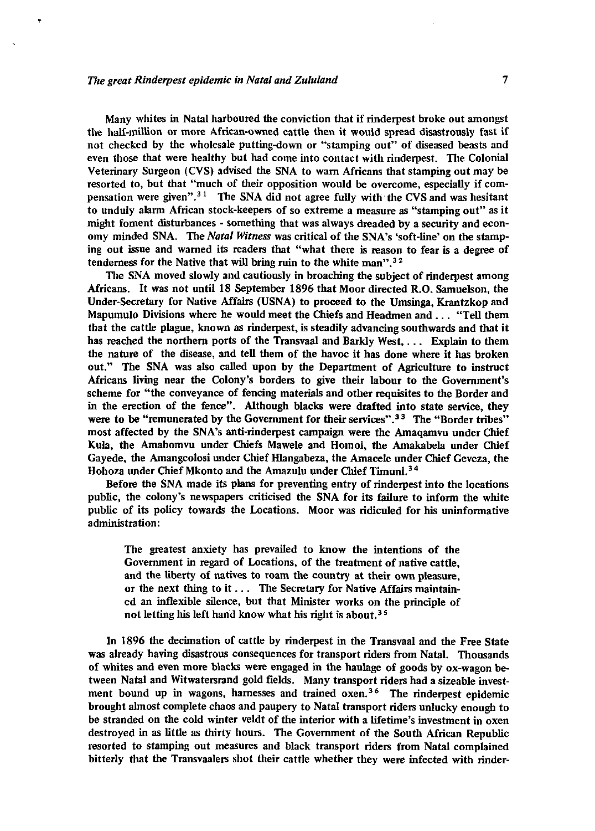Many whites in Natal harboured the conviction that if rinderpest broke out amongst the half-million or more African-owned cattle then it would spread disastrously fast if not checked by the wholesale putting-down or "stamping out" of diseased beasts and even those that were healthy but had come into contact with rinderpest. The Colonial Veterinary Surgeon (CVS) advised the SNA to wam Africans that stamping out may be resorted to, but that "much of their opposition would be overcome, especially if compensation were given<sup>", 31</sup> The SNA did not agree fully with the CVS and was hesitant to unduly alarm African stock-keepers of so extreme a measure as "stamping out" as it might foment disturbances - something that was always dreaded by a security and economy minded SNA. The *Natal Witness* was critical of the SNA's 'soft-line' on the stamping out issue and warned its readers that "what there is reason to fear is a degree of tenderness for the Native that will bring ruin to the white man".<sup>3</sup>*<sup>2</sup>*

The SNA moved slowly and cautiously in broaching the subject of rinderpest among Africans. It was not until 18 September 1896 that Moor directed R.O. Samuelson, the Under-Secretary for Native Affairs (USNA) to proceed to the Umsinga, Krantzkop and Mapumulo Divisions where he would meet the Chiefs and Headmen and .. . "Tell them that the cattle plague, known as rinderpest, is steadily advancing southwards and that it has reached the northern ports of the Transvaal and Barkly West,. .. Explain to them the nature of the disease, and tell them of the havoc it has done where it has broken out." The SNA was also called upon by the Department of Agriculture to instruct Africans living near the Colony's borders to give their labour to the Government's scheme for "the conveyance of fencing materials and other requisites to the Border and in the erection of the fence". Although blacks were drafted into state service, they were to be "remunerated by the Government for their services".<sup>33</sup> The "Border tribes" most affected by the SNA's anti-rinderpest campaign were the Amaqamvu under Chief Kula, the Amabomvu under Chiefs Mawele and Homoi, the Amakabela under Chief Gayede, the Amangcolosi under Chief Hlangabeza, the Amacele under Chief Geveza, the Hohoza under Chief Mkonto and the Amazulu under Chief Timuni.<sup>34</sup>

Before the SNA made its plans for preventing entry of rinderpest into the locations public, the colony's newspapers criticised the SNA for its failure to inform the white public of its policy towards the Locations. Moor was ridiculed for his uninformative administration:

The greatest anxiety has prevailed to know the intentions of the Government in regard of Locations, of the treatment of native cattle, and the liberty of natives to roam the country at their own pleasure, or the next thing to it.. . The Secretary for Native Affairs maintained an inflexible silence, but that Minister works on the principle of not letting his left hand know what his right is about.<sup>35</sup>

In 1896 the decimation of cattle by rinderpest in the Transvaal and the Free State was already having disastrous consequences for transport riders from Natal. Thousands of whites and even more blacks were engaged in the haulage of goods by ox-wagon between Natal and Witwatersrand gold fields. Many transport riders had a sizeable investment bound up in wagons, harnesses and trained oxen.<sup>36</sup> The rinderpest epidemic brought almost complete chaos and paupery to Natal transport riders unlucky enough to be stranded on the cold winter veldt of the interior with a lifetime's investment in oxen destroyed in as little as thirty hours. The Government of the South African Republic resorted to stamping out measures and black transport riders from Natal complained bitterly that the Transvaalers shot their cattle whether they were infected with rinder-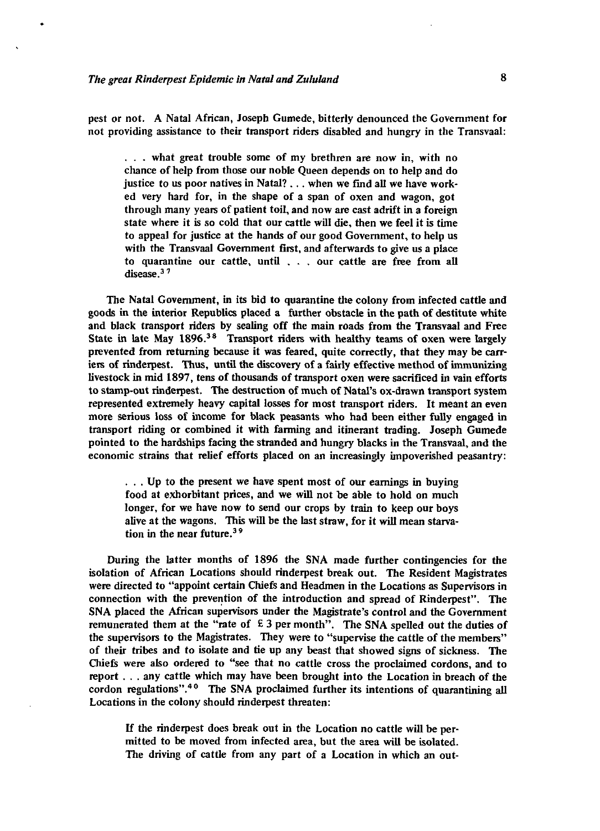pest or not. A Natal African, Joseph Gumede, bitterly denounced the Government for not providing assistance to their transport riders disabled and hungry in the Transvaal:

. . . what great trouble some of my brethren are now in, with no chance of help from those our noble Queen depends on to help and do justice to us poor natives in Natal? . . . when we find all we have worked very hard for, in the shape of a span of oxen and wagon, got through many years of patient toil, and now are cast adrift in a foreign state where it is so cold that our cattle will die, then we feel it is time to appeal for justice at the hands of our good Government, to help us with the Transvaal Government first, and afterwards to give us a place to quarantine our cattle, until . . . our cattle are free from all disease.<sup>37</sup>

The Natal Government, in its bid to quarantine the colony from infected cattle and goods in the interior Republics placed a further obstacle in the path of destitute white and black transport riders by sealing off the main roads from the Transvaal and Free State in late May 1896.<sup>38</sup> Transport riders with healthy teams of oxen were largely prevented from returning because it was feared, quite correctly, that they may be carriers of rinderpest. Thus, until the discovery of a fairly effective method of immunizing livestock in mid 1897, tens of thousands of transport oxen were sacrificed in vain efforts to stamp-out rinderpest. The destruction of much of Natal's ox-drawn transport system represented extremely heavy capital losses for most transport riders. It meant an even more serious loss of income for black peasants who had been either fully engaged in transport riding or combined it with farming and itinerant trading. Joseph Gumede pointed to the hardships facing the stranded and hungry blacks in the Transvaal, and the economic strains that relief efforts placed on an increasingly impoverished peasantry:

. . . Up to the present we have spent most of our earnings in buying food at exhorbitant prices, and we will not be able to hold on much longer, for we have now to send our crops by train to keep our boys alive at the wagons. This will be the last straw, for it will mean starvation in the near future.3 9

During the latter months of 1896 the SNA made further contingencies for the isolation of African Locations should rinderpest break out. The Resident Magistrates were directed to "appoint certain Chiefs and Headmen in the Locations as Supervisors in connection with the prevention of the introduction and spread of Rinderpest". The SNA placed the African supervisors under the Magistrate's control and the Government remunerated them at the "rate of  $E$  3 per month". The SNA spelled out the duties of the supervisors to the Magistrates. They were to "supervise the cattle of the members" of their tribes and to isolate and tie up any beast that showed signs of sickness. The Chiefs were also ordered to "see that no cattle cross the proclaimed cordons, and to report . . . any cattle which may have been brought into the Location in breach of the cordon regulations".<sup>40</sup> The SNA proclaimed further its intentions of quarantining all Locations in the colony should rinderpest threaten:

If the rinderpest does break out in the Location no cattle will be permitted to be moved from infected area, but the area will be isolated. The driving of cattle from any part of a Location in which an out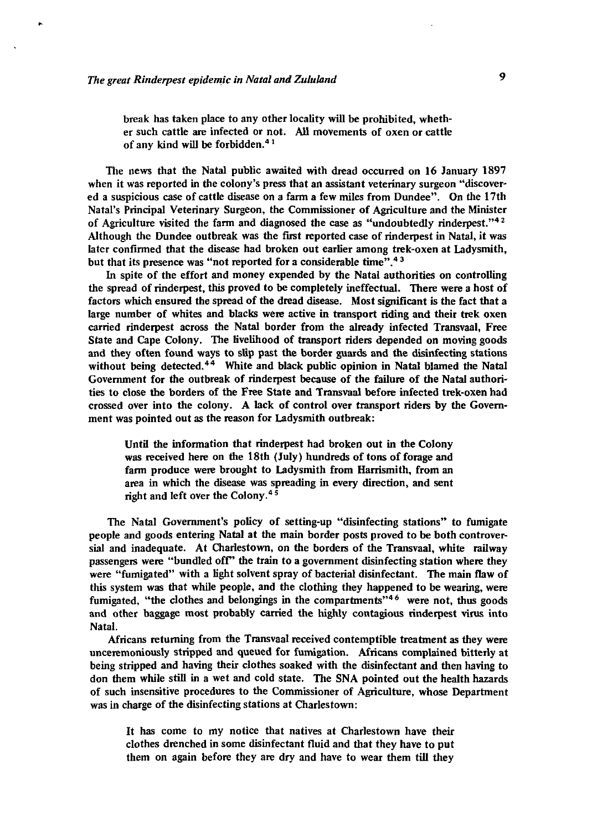break has taken place to any other locality will be prohibited, whether such cattle are infected or not. All movements of oxen or cattle of any kind will be forbidden.<sup>4</sup>*<sup>1</sup>*

The news that the Natal public awaited with dread occurred on 16 January 1897 when it was reported in the colony's press that an assistant veterinary surgeon "discovered a suspicious case of cattle disease on a farm a few miles from Dundee". On the 17th Natal's Principal Veterinary Surgeon, the Commissioner of Agriculture and the Minister of Agriculture visited the farm and diagnosed the case as "undoubtedly rinderpest."<sup>42</sup> Although the Dundee outbreak was the first reported case of rinderpest in Natal, it was later confirmed that the disease had broken out earlier among trek-oxen at Ladysmith, but that its presence was "not reported for a considerable time".<sup>43</sup>

In spite of the effort and money expended by the Natal authorities on controlling the spread of rinderpest, this proved to be completely ineffectual. There were a host of factors which ensured the spread of the dread disease. Most significant is the fact that a large number of whites and blacks were active in transport riding and their trek oxen carried rinderpest across the Natal border from the already infected Transvaal, Free State and Cape Colony. The livelihood of transport riders depended on moving goods and they often found ways to slip past the border guards and the disinfecting stations without being detected.<sup>44</sup> White and black public opinion in Natal blamed the Natal Government for the outbreak of rinderpest because of the failure of the Natal authorities to close the borders of the Free State and Transvaal before infected trek-oxen had crossed over into the colony. A lack of control over transport riders by the Government was pointed out as the reason for Ladysmith outbreak:

Until the information that rinderpest had broken out in the Colony was received here on the 18th (July) hundreds of tons of forage and farm produce were brought to Ladysmith from Harrismith, from an area in which the disease was spreading in every direction, and sent right and left over the Colony.4 s

The Natal Government's policy of setting-up "disinfecting stations" to fumigate people and goods entering Natal at the main border posts proved to be both controversial and inadequate. At Charlestown, on the borders of the Transvaal, white railway passengers were "bundled off" the train to a government disinfecting station where they were "fumigated" with a light solvent spray of bacterial disinfectant. The main flaw of this system was that while people, and the clothing they happened to be wearing, were fumigated, "the clothes and belongings in the compartments"<sup>46</sup> were not, thus goods and other baggage most probably carried the highly contagious rinderpest virus into Natal.

Africans returning from the Transvaal received contemptible treatment as they were unceremoniously stripped and queued for fumigation. Africans complained bitterly at being stripped and having their clothes soaked with the disinfectant and then having to don them while still in a wet and cold state. The SNA pointed out the health hazards of such insensitive procedures to the Commissioner of Agriculture, whose Department was in charge of the disinfecting stations at Charlestown:

It has come to my notice that natives at Charlestown have their clothes drenched in some disinfectant fluid and that they have to put them on again before they are dry and have to wear them till they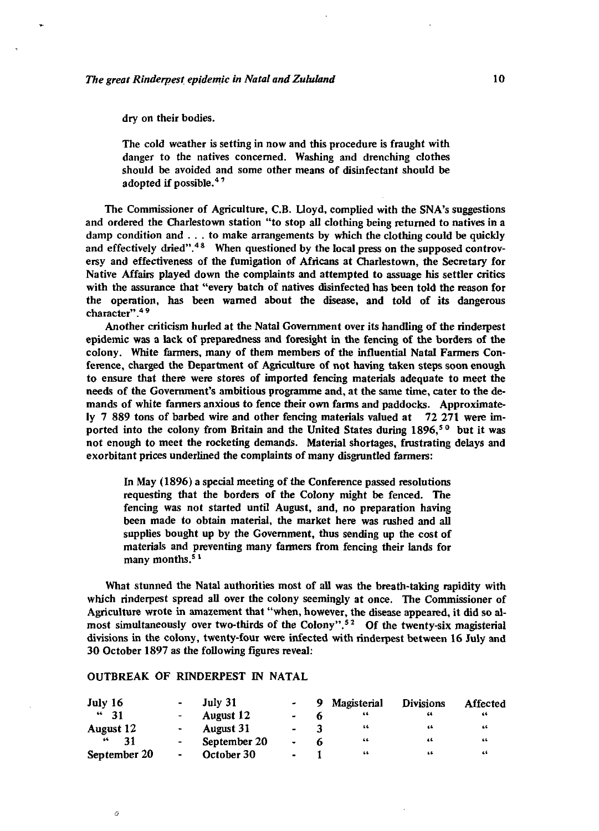dry on their bodies.

The cold weather is setting in now and this procedure is fraught with danger to the natives concerned. Washing and drenching clothes should be avoided and some other means of disinfectant should be adopted if possible.<sup>47</sup>

The Commissioner of Agriculture, C.B. Uoyd, complied with the SNA's suggestions and ordered the Charlestown station "to stop all clothing being returned to natives in a damp condition and  $\ldots$ , to make arrangements by which the clothing could be quickly and effectively dried".<sup>48</sup> When questioned by the local press on the supposed controversy and effectiveness of the fumigation of Africans at Charles town, the Secretary for Native Affairs played down the complaints and attempted to assuage his settler critics with the assurance that "every batch of natives disinfected has been told the reason for the operation, has been warned about the disease, and told of its dangerous character".<sup>49</sup>

Another criticism hurled at the Natal Government over its handling of the rinderpest epidemic was a lack of preparedness and foresight in the fencing of the borders of the colony. White farmers, many of them members of the influential Natal Farmers Conference, charged the Department of Agriculture of not having taken steps soon enough to ensure that there were stores of imported fencing materials adequate to meet the needs of the Government's ambitious programme and, at the same time, cater to the demands of white fanners anxious to fence their own farms and paddocks. Approximately 7 889 tons of barbed wire and other fencing materials valued at 72 271 were imported into the colony from Britain and the United States during  $1896$ ,<sup>50</sup> but it was not enough to meet the rocketing demands. Material shortages, frustrating delays and exorbitant prices underlined the complaints of many disgruntled farmers:

In May (1896) a special meeting of the Conference passed resolutions requesting that the borders of the Colony might be fenced. The fencing was not started until August, and, no preparation having been made to obtain material, the market here was rushed and all supplies bought up by the Government, thus sending up the cost of materials and preventing many fanners from fencing their lands for  $\frac{1}{2}$  many months.<sup>51</sup>

What stunned the Natal authorities most of all was the breath-taking rapidity with which rinderpest spread all over the colony seemingly at once. The Commissioner of Agriculture wrote in amazement that "when, however, the disease appeared, it did so almost simultaneously over two-thirds of the Colony".<sup>52</sup> Of the twenty-six magisterial divisions in the colony, twenty-four were infected with rinderpest between 16 July and 30 October 1897 as the following figures reveal:

### OUTBREAK OF RINDERPEST IN NATAL

 $\sigma$ 

| July $16$     | $\sim$ $-$      | July 31      |                | У.                      | Magisterial | <b>Divisions</b> | Affected |
|---------------|-----------------|--------------|----------------|-------------------------|-------------|------------------|----------|
| $44 - 31$     | $\sim$ 10 $\pm$ | August 12    |                |                         | 66          | -66              | 46       |
| August 12     | $\sim$ $-$      | August 31    | $\sim$         | $\overline{\mathbf{3}}$ | -66         | 46               | 66       |
| 21<br>$\pm$ 4 | $\sim$ 10 $\pm$ | September 20 | $\bullet$ .    | ь                       | -66         | 46               | 44       |
| September 20  | $\sim$          | October 30   | $\blacksquare$ |                         | -66         | 46               | 46       |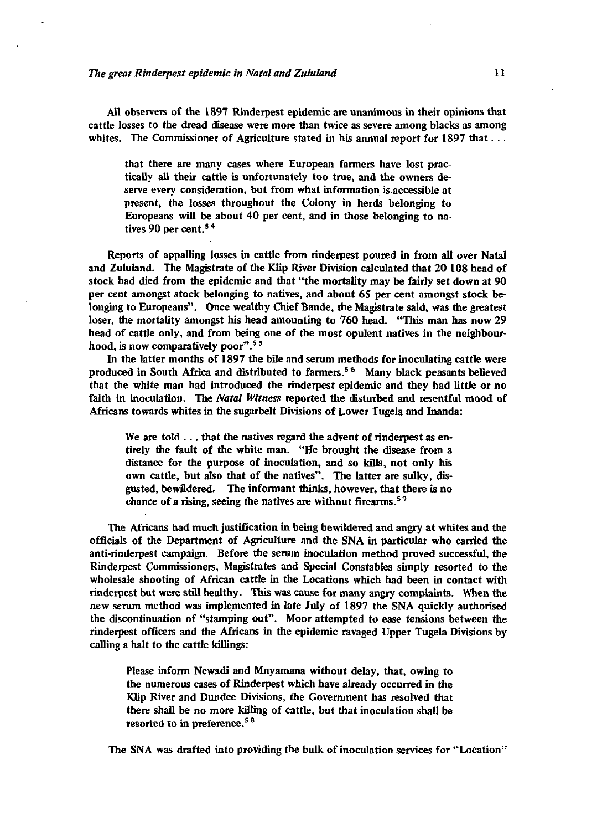#### *The great Rinderpest epidemic in Natal and Zululand* 11

All observers of the 1897 Rinderpest epidemic are unanimous in their opinions that cattle losses to the dread disease were more than twice as severe among blacks as among whites. The Commissioner of Agriculture stated in his annual report for  $1897$  that...

that there are many cases where European farmers have lost practically all their cattle is unfortunately too true, and the owners deserve every consideration, but from what information is accessible at present, the losses throughout the Colony in herds belonging to Europeans will be about 40 per cent, and in those belonging to natives 90 per cent.<sup>54</sup>

Reports of appalling losses in cattle from rinderpest poured in from all over Natal and Zululand. The Magistrate of the Klip River Division calculated that 20 108 head of stock had died from the epidemic and that "the mortality may be fairly set down at 90 per cent amongst stock belonging to natives, and about 65 per cent amongst stock belonging to Europeans". Once wealthy Chief Bande, the Magistrate said, was the greatest loser, the mortality amongst his head amounting to 760 head. "This man has now 29 head of cattle only, and from being one of the most opulent natives in the neighbourhood, is now comparatively poor".<sup>55</sup>

In the latter months of 1897 the bile and serum methods for inoculating cattle were produced in South Africa and distributed to farmers.<sup>56</sup> Many black peasants believed that the white man had introduced the rinderpest epidemic and they had little or no faith in inoculation. The *Natal Witness* reported the disturbed and resentful mood of Africans towards whites in the sugarbelt Divisions of Lower Tugela and Inanda:

We are told .. . that the natives regard the advent of rinderpest as entirely the fault of the white man. "He brought the disease from a distance for the purpose of inoculation, and so kills, not only his own cattle, but also that of the natives". The latter are sulky, disgusted, bewildered. The informant thinks, however, that there is no chance of a rising, seeing the natives are without firearms.<sup>57</sup>

The Africans had much justification in being bewildered and angry at whites and the officials of the Department of Agriculture and the SNA in particular who carried the anti-rinderpest campaign. Before the serum inoculation method proved successful, the Rinderpest Commissioners, Magistrates and Special Constables simply resorted to the wholesale shooting of African cattle in the Locations which had been in contact with rinderpest but were still healthy. This was cause for many angry complaints. When the new serum method was implemented in late July of 1897 the SNA quickly authorised the discontinuation of "stamping out". Moor attempted to ease tensions between the rinderpest officers and the Africans in the epidemic ravaged Upper Tugela Divisions by calling a halt to the cattle killings:

Please inform Ncwadi and Mnyamana without delay, that, owing to the numerous cases of Rinderpest which have already occurred in the Klip River and Dundee Divisions, the Government has resolved that there shall be no more killing of cattle, but that inoculation shall be resorted to in preference.<sup>58</sup>

The SNA was drafted into providing the bulk of inoculation services for "Location"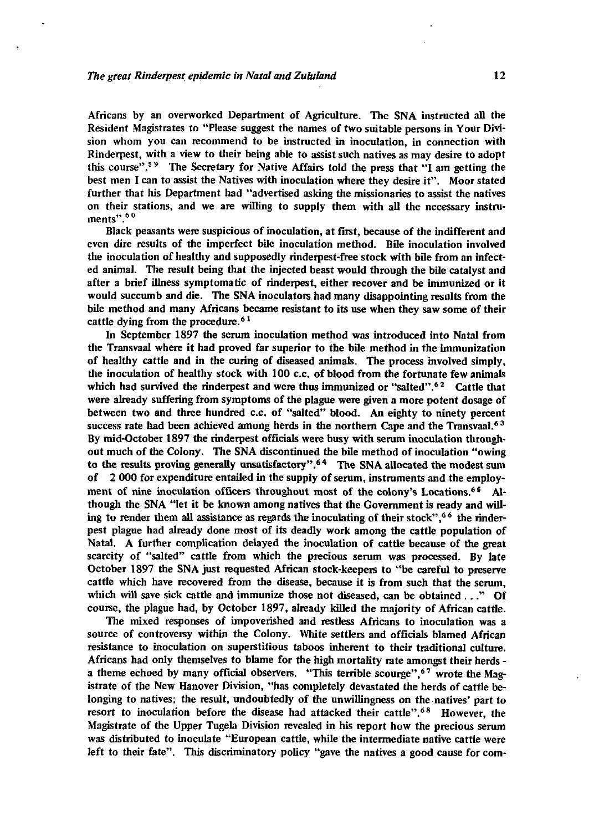Africans by an overworked Department of Agriculture. The SNA instructed all the Resident Magistrates to "Please suggest the names of two suitable persons in Your Division whom you can recommend to be instructed in inoculation, in connection with Rinderpest, with a view to their being able to assist such natives as may desire to adopt this course".<sup>59</sup> The Secretary for Native Affairs told the press that "I am getting the best men I can *to* assist the Natives with inoculation where they desire it". Moor stated further that his Department had "advertised asking the missionaries to assist the natives on their stations, and we are willing to supply them with all the necessary instruments".<sup>60</sup>

Black peasants were suspicious of inoculation, at first, because of the indifferent and even dire results of the imperfect bile inoculation method. Bile inoculation involved the inoculation of healthy and supposedly rinderpest-free stock with bile from an infected animal. The result being that the injected beast would through the bile catalyst and after a brief illness symptomatic of rinderpest, either recover and be immunized or it would succumb and die. The SNA inoculators had many disappointing results from the bile method and many Africans became resistant to its use when they saw some of their cattle dying from the procedure.<sup>61</sup>

In September 1897 the serum inoculation method was introduced into Natal from the Transvaal where it had proved far superior to the bile method in the immunization of healthy cattle and in the curing of diseased animals. The process involved simply, the inoculation of healthy stock with 100 c.c. of blood from the fortunate few animals which had survived the rinderpest and were thus immunized or "salted".<sup>62</sup> Cattle that were already suffering from symptoms of the plague were given a more potent dosage of between two and three hundred c.c. of "salted" blood. An eighty to ninety percent success rate had been achieved among herds in the northern Cape and the Transvaal.<sup>63</sup> By mid-October 1897 the rinderpest officials were busy with serum inoculation throughout much of the Colony. The SNA discontinued the bile method of inoculation "owing to the results proving generally unsatisfactory".<sup>64</sup> The SNA allocated the modest sum of 2 000 for expenditure entailed in the supply of serum, instruments and the employment of nine inoculation officers throughout most of the colony's Locations.<sup>64</sup> Although the SNA "let it be known among natives that the Government is ready and willing to render them all assistance as regards the inoculating of their stock",<sup>66</sup> the rinderpest plague had already done most of its deadly work among the cattle population of Natal. A further complication delayed the inoculation of cattle because of the great scarcity of "salted" cattle from which the precious serum was processed. By late October 1897 the SNA just requested African stock-keepers to "be careful to preserve cattle which have recovered from the disease, because it is from such that the serum, which will save sick cattle and immunize those not diseased, can be obtained ..." Of course, the plague had, by October 1897, already killed the majority of African cattle.

The mixed responses of impoverished and restless Africans to inoculation was a source of controversy within the Colony. White settlers and officials blamed African resistance to inoculation on superstitious taboos inherent to their traditional culture. Africans had only themselves to blame for the high mortality rate amongst their herds a theme echoed by many official observers. "This terrible scourge",  $67$  wrote the Magistrate of the New Hanover Division, "has completely devastated the herds of cattle belonging to natives; the result, undoubtedly of the unwillingness on the natives' part to resort to inoculation before the disease had attacked their cattle".<sup>68</sup> However, the Magistrate of the Upper Tugela Division revealed in his report how the precious serum was distributed to inoculate "European cattle, while the intermediate native cattle were left to their fate". This discriminatory policy "gave the natives a good cause for com-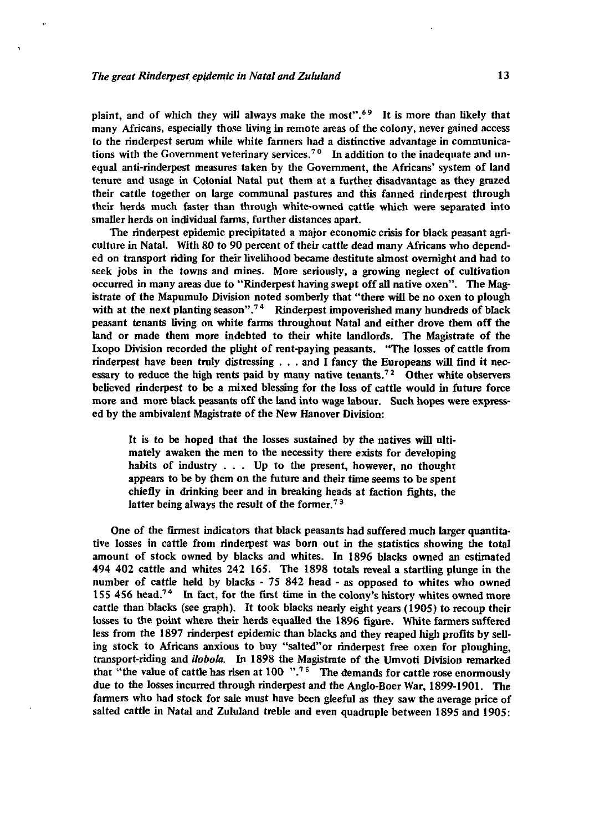plaint, and of which they will always make the most".<sup>69</sup> It is more than likely that many Africans, especially those living in remote areas of the colony, never gained access to the rinderpest serum while white fanners had a distinctive advantage in communications with the Government veterinary services.<sup>70</sup> In addition to the inadequate and unequal anti-rinderpest measures taken by the Government, the Africans' system of land tenure and usage in Colonial Natal put them at a further disadvantage as they grazed their cattle together on large communal pastures and this fanned rinderpest through their herds much faster than through white-owned cattle which were separated into smaller herds on individual farms, further distances apart.

The rinderpest epidemic precipitated a major economic crisis for black peasant agriculture in Natal. With 80 to 90 percent of their cattle dead many Africans who depended on transport riding for their livelihood became destitute almost overnight and had to seek jobs in the towns and mines. More seriously, a growing neglect of cultivation occurred in many areas due to "Rinderpest having swept off all native oxen". The Magistrate of the Mapumulo Division noted somberly that "there will be no oxen to plough with at the next planting season".<sup>74</sup> Rinderpest impoverished many hundreds of black peasant tenants living on white farms throughout Natal and either drove them off the land or made them more indebted to their white landlords. The Magistrate of the Ixopo Division recorded the plight of rent-paying peasants. "The losses of cattle from rinderpest have been truly distressing . . . and I fancy the Europeans will find it necessary to reduce the high rents paid by many native tenants.<sup>72</sup> Other white observers believed rinderpest to be a mixed blessing for the loss of cattle would in future force more and more black peasants off the land into wage labour. Such hopes were expressed by the ambivalent Magistrate of the New Hanover Division:

It is to be hoped that the losses sustained by the natives will ultimately awaken the men to the necessity there exists for developing habits of industry .. . Up to the present, however, no thought appears to be by them on the future and their time seems to be spent chiefly in drinking beer and in breaking heads at faction fights, the latter being always the result of the former.<sup>73</sup>

One of the firmest indicators that black peasants had suffered much larger quantitative losses in cattle from rinderpest was born out in the statistics showing the total amount of stock owned by blacks and whites. In 1896 blacks owned an estimated 494 402 cattle and whites 242 165. The 1898 totals reveal a startling plunge in the number of cattle held by blacks - 75 842 head - as opposed *to* whites who owned 155 456 head.<sup>74</sup> In fact, for the first time in the colony's history whites owned more cattle than blacks (see graph). It took blacks nearly eight years (1905) to recoup their losses to the point where their herds equalled the 1896 figure. White farmers suffered less from the 1897 rinderpest epidemic than blacks and they reaped high profits by selling stock to Africans anxious to buy "salted"or rinderpest free oxen for ploughing, transport-riding and *ilobola.* In 1898 the Magistrate of the Umvoti Division remarked that "the value of cattle has risen at  $100$  ".<sup>75</sup> The demands for cattle rose enormously due to the losses incurred through rinderpest and the Anglo-Boer War, 1899-1901. The farmers who had stock for sale must have been gleeful as they saw the average price of salted cattle in Natal and Zululand treble and even quadruple between 1895 and 1905: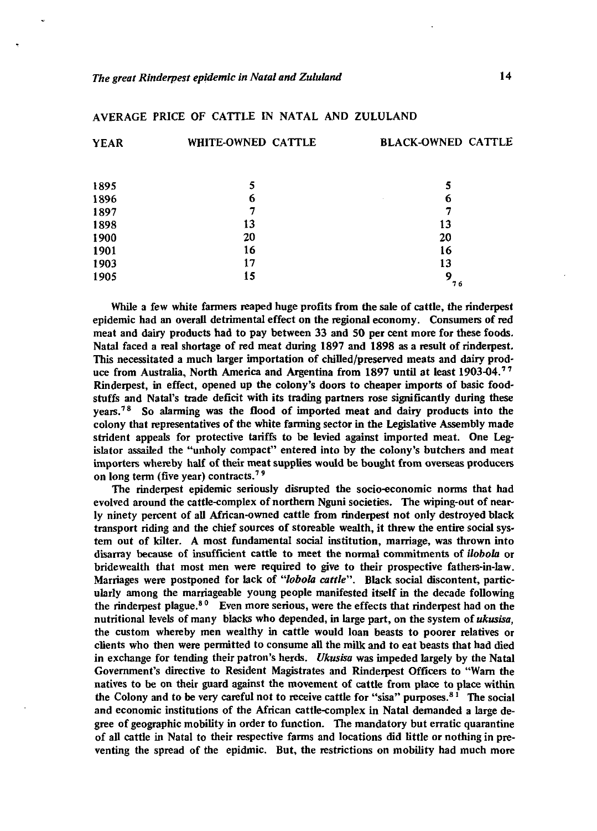| <b>YEAR</b> | WHITE-OWNED CATTLE | <b>BLACK-OWNED CATTLE</b> |
|-------------|--------------------|---------------------------|
|             |                    |                           |
| 1895        | 5                  | 5                         |
| 1896        | 6                  | 6                         |
| 1897        | 7                  |                           |
| 1898        | 13                 | 13                        |
| 1900        | 20                 | 20                        |
| 1901        | 16                 | 16                        |
| 1903        | 17                 | 13                        |
| 1905        | 15                 | 9<br>76                   |

### AVERAGE PRICE OF CATTLE IN NATAL AND ZULULAND

While a few white farmers reaped huge profits from the sale of cattle, the rinderpest epidemic had an overall detrimental effect on the regional economy. Consumers of red meat and dairy products had to pay between 33 and 50 per cent more for these foods. Natal faced a real shortage of red meat during 1897 and 1898 as a result of rinderpest. This necessitated a much larger importation of chilled/preserved meats and dairy produce from Australia, North America and Argentina from 1897 until at least 1903-04.<sup>77</sup> Rinderpest, in effect, opened up the colony's doors to cheaper imports of basic foodstuffs and Natal's trade deficit with its trading partners rose significantly during these years.<sup>78</sup> So alarming was the flood of imported meat and dairy products into the colony that representatives of the white farming sector in the Legislative Assembly made strident appeals for protective tariffs to be levied against imported meat. One Legislator assailed the "unholy compact" entered into by the colony's butchers and meat importers whereby half of their meat supplies would be bought from overseas producers on long term (five year) contracts.<sup>79</sup>

The rinderpest epidemic seriously disrupted the socio-economic norms that had evolved around the cattle-complex of northern Nguni societies. The wiping-out of nearly ninety percent of all African-owned cattle from rinderpest not only destroyed black transport riding and the chief sources of storeable wealth, it threw the entire social system out of kilter. A most fundamental social institution, marriage, was thrown into disarray because of insufficient cattle to meet the normal commitments of *Hobo la* or bridewealth that most men were required to give to their prospective fathers-in-law. Marriages were postponed for lack of *"lobola cattle".* Black social discontent, particularly among the marriageable young people manifested itself in the decade following the rinderpest plague.<sup>80</sup> Even more serious, were the effects that rinderpest had on the nutritional levels of many blacks who depended, in large part, on the system of *ukusisa,* the custom whereby men wealthy in cattle would loan beasts to poorer relatives or clients who then were permitted to consume all the milk and to eat beasts that had died in exchange for tending their patron's herds. *Ukusisa* was impeded largely by the Natal Government's directive to Resident Magistrates and Rinderpest Officers to "Warn the natives to be on their guard against the movement of cattle from place to place within the Colony and to be very careful not to receive cattle for "sisa" purposes.<sup>8</sup>*<sup>1</sup>* The social and economic institutions of the African cattle-complex in Natal demanded a large degree of geographic mobility in order to function. The mandatory but erratic quarantine of all cattle in Natal to their respective farms and locations did little or nothing in preventing the spread of the epidmic. But, the restrictions on mobility had much more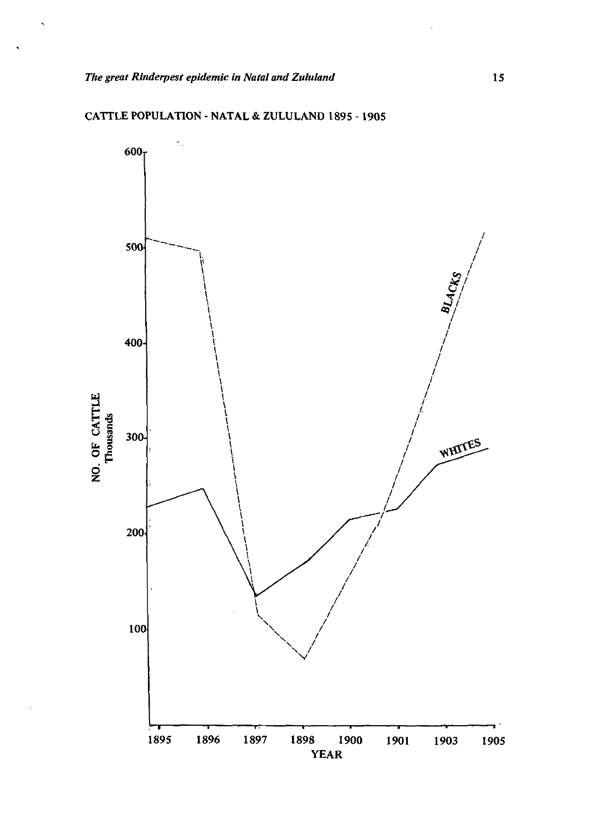

CATTLE POPULATION - NATAL & ZULULAND 1895 -1905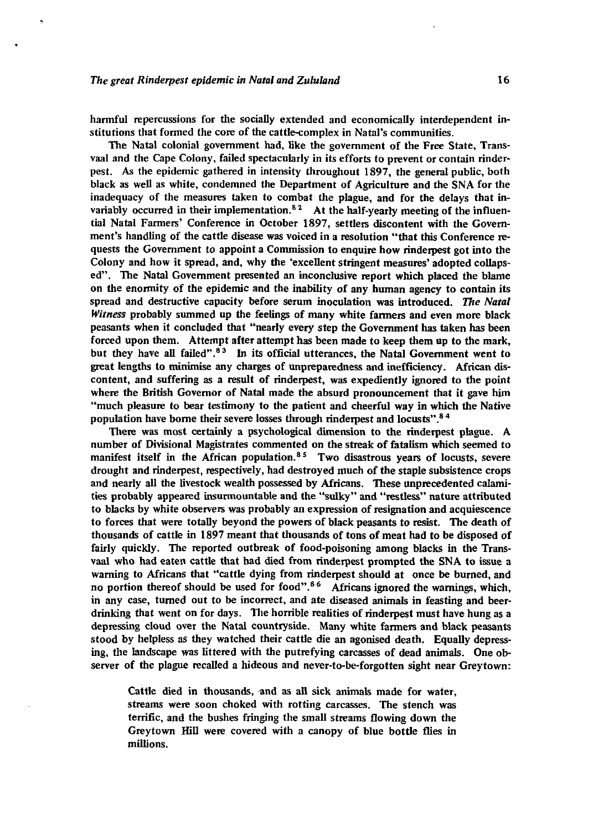harmful repercussions for the socially extended and economically interdependent institutions that formed the core of the cattle-complex in Natal's communities.

The Natal colonial government had, like the government of the Free State, Transvaal and the Cape Colony, failed spectacularly in its efforts to prevent or contain rinderpest. As the epidemic gathered in intensity throughout 1897, the general public, both black as well as white, condemned the Department of Agriculture and the SNA for the inadequacy of the measures taken to combat the plague, and for the delays that invariably occurred in their implementation. $82$  At the half-yearly meeting of the influential Natal Farmers' Conference in October 1897, settlers discontent with the Government's handling of the cattle disease was voiced in a resolution "that this Conference requests the Government to appoint a Commission to enquire how rinderpest got into the Colony and how it spread, and, why the 'excellent stringent measures' adopted collapsed". The Natal Government presented an inconclusive report which placed the blame on the enormity of the epidemic and the inability of any human agency to contain its spread and destructive capacity before serum inoculation was introduced. *The Natal Witness* probably summed up the feelings of many white farmers and even more black peasants when it concluded that "nearly every step the Government has taken has been forced upon them. Attempt after attempt has been made to keep them up to the mark, forced upon them. Attempt after attempt has been made to keep them up to the main,<br>but they have all failed".<sup>83</sup> In its official utterances, the Natal Government went to great lengths to minimise any charges of unpreparedness and inefficiency. African discontent, and suffering as a result of rinderpest, was expediently ignored to the point where the British Governor of Natal made the absurd pronouncement that it gave him much are prison covering or passe meas the about a pronouncement and it gave man<br>"much pleasure to bear testimony to the patient and cheerful way in which the Native population have borne their severe losses through rinderpest and locusts". <sup>84</sup>

There was most certainly a psychological dimension to the rinderpest plague. A number of Divisional Magistrates commented on the streak of fatalism which seemed to manifest itself in the African population.<sup>85</sup> Two disastrous years of locusts, severe drought and rinderpest, respectively, had destroyed much of the staple subsistence crops and nearly all the livestock wealth possessed by Africans. These unprecedented calamities probably appeared insurmountable and the "sulky" and "restless" nature attributed to blacks by white observers was probably an expression of resignation and acquiescence to forces that were totally beyond the powers of black peasants to resist. The death of thousands of cattle in 1897 meant that thousands of tons of meat had to be disposed of fairly quickly. The reported outbreak of food-poisoning among blacks in the Transvaal who had eaten cattle that had died from rinderpest prompted the SNA to issue a warning to Africans that "cattle dying from rinderpest should at once be burned, and no portion thereof should be used for food".<sup>86</sup> Africans ignored the warnings, which, in any case, turned out to be incorrect, and ate diseased animals in feasting and beerdrinking that went on for days. The horrible realities of rinderpest must have hung as a depressing cloud over the Natal countryside. Many white farmers and black peasants stood by helpless as they watched their cattle die an agonised death. Equally depressing, the landscape was littered with the putrefying carcasses of dead animals. One observer of the plague recalled a hideous and never-to-be-forgotten sight near Greytown:

Cattle died in thousands, and as all sick animals made for water, streams were soon choked with rotting carcasses. The stench was terrific, and the bushes fringing the small streams flowing down the Greytown Hill were covered with a canopy of blue bottle flies in millions.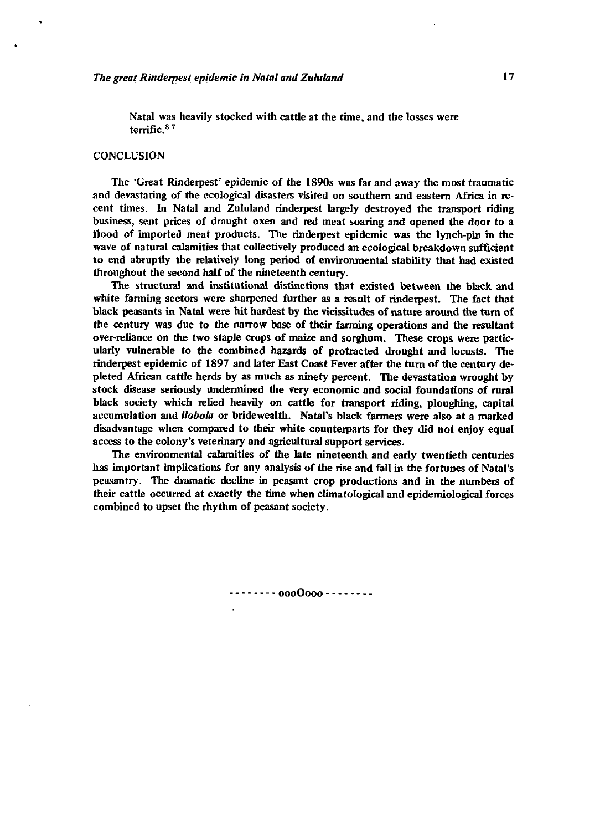Natal was heavily stocked with cattle at the time, and the losses were terrific.8 7

#### **CONCLUSION**

The 'Great Rinderpest' epidemic of the 1890s was far and away the most traumatic and devastating of the ecological disasters visited on southern and eastern Africa in recent times. In Natal and Zululand rinderpest largely destroyed the transport riding business, sent prices of draught oxen and red meat soaring and opened the door to a flood of imported meat products. The rinderpest epidemic was the lynch-pin in the wave of natural calamities that collectively produced an ecological breakdown sufficient to end abruptly the relatively long period of environmental stability that had existed throughout the second half of the nineteenth century.

The structural and institutional distinctions that existed between the black and white farming sectors were sharpened further as a result of rinderpest. The fact that black peasants in Natal were hit hardest by the vicissitudes of nature around the turn of the century was due to the narrow base of their farming operations and the resultant over-reliance on the two staple crops of maize and sorghum. These crops were particularly vulnerable to the combined hazards of protracted drought and locusts. The rinderpest epidemic of 1897 and later East Coast Fever after the turn of the century depleted African cattle herds by as much as ninety percent. The devastation wrought by stock disease seriously undermined the very economic and social foundations of rural black society which relied heavily on cattle for transport riding, ploughing, capital accumulation and *ilobola* or bride wealth. Natal's black farmers were also at a marked disadvantage when compared to their white counterparts for they did not enjoy equal access to the colony's veterinary and agricultural support services.

The environmental calamities of the late nineteenth and early twentieth centuries has important implications for any analysis of the rise and fall in the fortunes of Natal's peasantry. The dramatic decline in peasant crop productions and in the numbers of their cattle occurred at exactly the time when clima to logical and epidemiological forces combined to upset the rhythm of peasant society.

oooOooo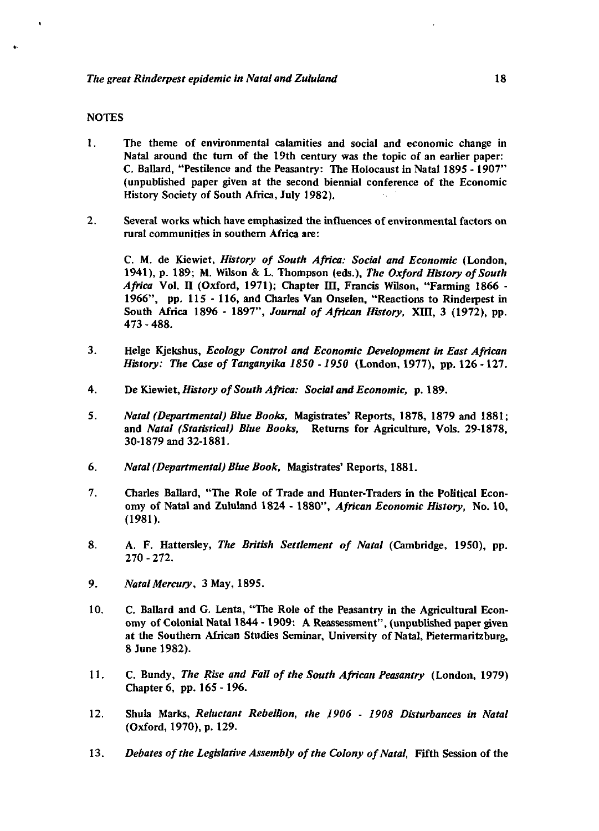### **NOTES**

- 1. The theme of environmental calamities and social and economic change in Natal around the tum of the 19th century was the topic of an earlier paper: C. Ballard, "Pestilence and the Peasantry: The Holocaust in Natal 1895 -1907" (unpublished paper given at the second biennial conference of the Economic History Society of South Africa, July 1982).
- 2. Several works which have emphasized the influences of environmental factors on rural communities in southern Africa are:

C. M. de Kiewiet, *History of South Africa: Social and Economic* (London, 1941), p. 189; M. Wilson & L. Thompson (eds.). *The Oxford History of South Africa* Vol. *U* (Oxford, 1971); Chapter m, Francis Wilson, "Farming 1866 - 1966", pp. 115 - 116, and Charles Van Onselen, "Reactions to Rinderpest in South Africa 1896 - 1897", *Journal of African History,* XIII, 3 (1972), pp. 473 - 488.

- 3. Helge Kjekshus, *Ecology Control and Economic Development in East African History: The Case of Tanganyika 1850 -1950* (London, 1977), pp. 126 -127.
- 4. De Kiewiet, *History of South Africa: Social and Economic,* p. 189.
- 5. *Natal (Departmental) Blue Books,* Magistrates\* Reports, 1878, 1879 and 1881; and *Natal (Statistical) Blue Books,* Returns for Agriculture, Vols. 29-1878, 30-1879 and 32-1881.
- 6. *Natal (Departmental) Blue Book,* Magistrates' Reports, 1881.
- 7. Charles Ballard, "The Role of Trade and Hunter-Traders in the Political Economy of Natal and Zululand 1824 - 1880", *African Economic History,* No. 10, (1981).
- 8. A. F. Hattersley, *The British Settlement of Natal* (Cambridge, 1950), pp. 270 - 272.
- 9. *Natal Mercury,* 3 May, 1895.
- 10. C. Ballard and G. Lenta, "The Role of the Peasantry in the Agricultural Economy of Colonial Natal 1844 -1909: A Reassessment", (unpublished paper given at the Southern African Studies Seminar, University of Natal, Pietermaritzburg, 8 June 1982).
- 11. C. Bundy, *The Rise and Fall of the South African Peasantry* (London, 1979) Chapter 6, pp. 165-196.
- 12. Shula Marks, *Reluctant Rebellion, the 1906* - *1908 Disturbances in Natal* (Oxford, 1970), p. 129.
- 13. *Debates of the Legislative Assembly of the Colony of Natal,* Fifth Session of the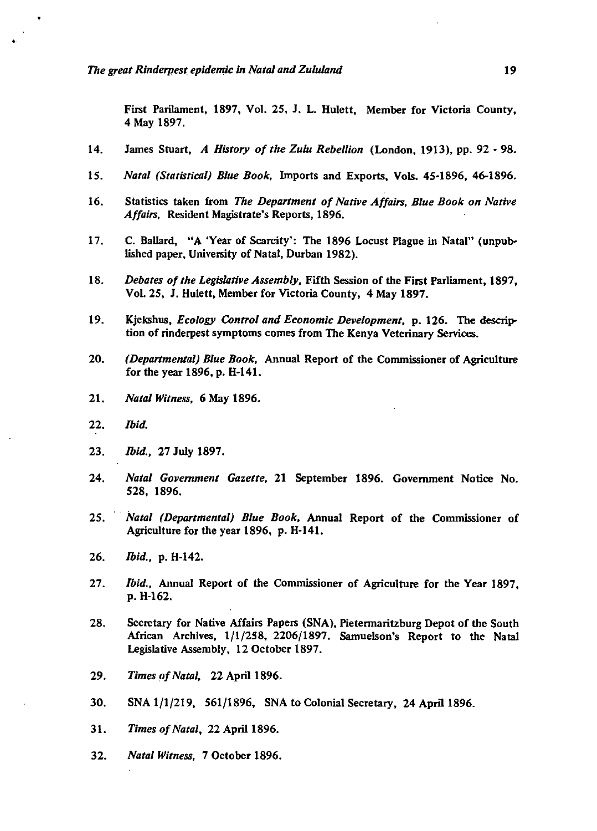First Parliament, 1897, Vol. 25, J. L. Hulett, Member for Victoria County, 4 May 1897.

- 14. James Stuart, *A History of the Zulu Rebellion* (London, 1913), pp. 92 98.
- 15. *Natal (Statistical) Blue Book,* Imports and Exports, Vols. 45-1896, 46-1896.
- 16. Statistics taken from *The Department of Native Affairs, Blue Book on Native Affairs,* Resident Magistrate's Reports, 1896.
- 17. C. Ballard, "A 'Year of Scarcity': The 1896 Locust Plague in Natal" (unpublished paper, University of Natal, Durban 1982).
- 18. *Debates of the Legislative Assembly,* Fifth Session of the First Parliament, 1897, Vol.25, J. Hulett, Member for Victoria County, 4 May 1897.
- 19. Kjekshus, *Ecology Control and Economic Development,* p. 126. The description of rinderpest symptoms comes from The Kenya Veterinary Services.
- 20. *(Departmental) Blue Book,* Annual Report of the Commissioner of Agriculture for the year 1896, p. H-141.
- 21. *Natal Witness,* 6 May 1896.
- 22. *Ibid.*
- 23. *Ibid.,* 27 July 1897.
- 24. *Natal Government Gazette,* 21 September 1896. Government Notice No. 528, 1896.
- 25. *Natal (Departmental) Blue Book,* Annual Report of the Commissioner of Agriculture for the year 1896, p. H-141.
- 26. *Ibid.,* p. H-142.
- 27. *Ibid.,* Annual Report of the Commissioner of Agriculture for the Year 1897, p. H-162.
- 28. Secretary for Native Affairs Papers (SNA), Pietermaritzburg Depot of the South African Archives, 1/1/258, 2206/1897. Samuelson's Report to the Natal Legislative Assembly, 12 October 1897.
- 29. *Times of Natal,* 22 April 1896.
- 30. SNA 1/1/219, 561/1896, SNA to Colonial Secretary, 24 April 1896.
- 31. *Times of Natal,* 22 April 1896.
- 32. *Natal Witness,* 7 October 1896.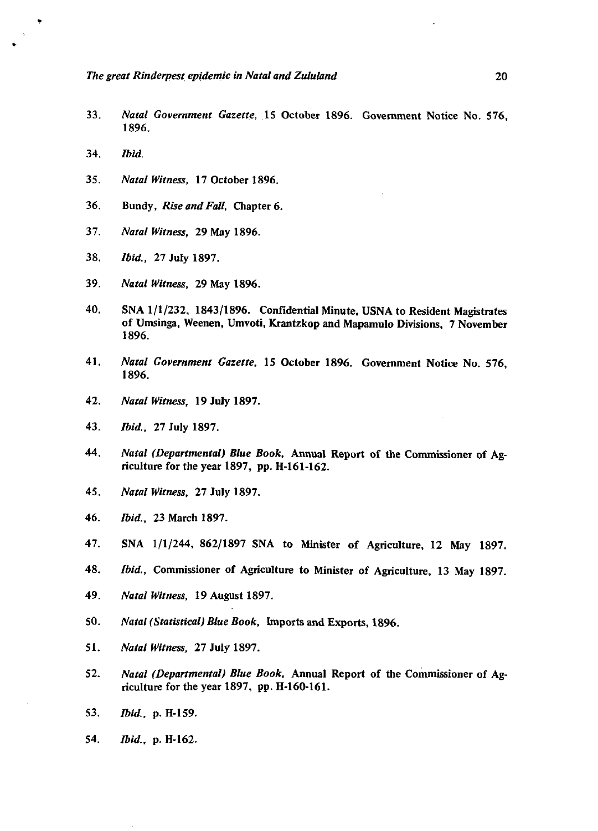- 33. *Natal Government Gazette,* 15 October 1896. Government Notice No. 576, 1896.
- 34. *Ibid.*
- 35. *Natal Witness,* 17 October 1896.
- 36. Bundy, *Rise and Fall,* Chapter 6.
- 37. *Natal Witness,* 29 May 1896.
- 38. *Ibid.,* 27 July 1897.
- 39. *Natal Witness,* 29 May 1896.
- 40. SNA 1/1/232, 1843/1896. Confidential Minute, USNA to Resident Magistrates of Umsinga, Weenen, Umvoti, Krantzkop and Mapamulo Divisions, 7 November 1896.
- 41. *Natal Government Gazette,* 15 October 1896. Government Notice No. 576, 1896.
- 42. *Natal Witness,* 19 July 1897.
- 43. *Ibid.,* 27 July 1897.
- 44. *Natal (Departmental) Blue Book,* Annual Report of the Commissioner of Agriculture for the year 1897, pp. H-161-162.
- 45. *Natal Witness,* 27 July 1897.
- 46. *Ibid.,* 23 March 1897.
- 47. SNA 1/1/244, 862/1897 SNA to Minister of Agriculture, 12 May 1897.
- 48. *Ibid.,* Commissioner of Agriculture to Minister of Agriculture, 13 May 1897.
- 49. *Natal Witness,* 19 August 1897.
- 50. *Natal (Statistical) Blue Book,* Imports and Exports, 1896.
- 51. *Natal Witness,* 27 July 1897.
- 52. *Natal (Departmental) Blue Book,* Annual Report of the Commissioner of Agriculture for the year 1897, pp. H-160-161.
- 53. *Ibid.,* p. H-159.
- 54. *Ibid.,* p. H-162.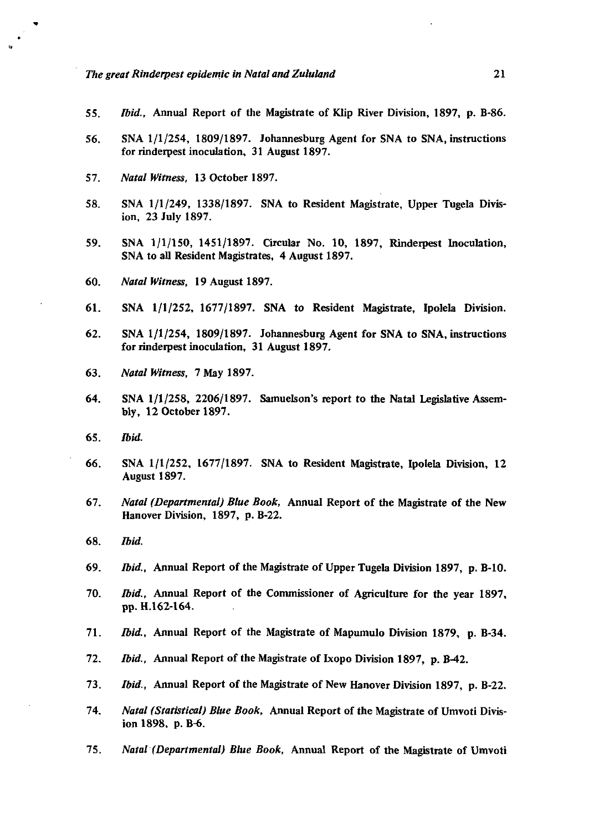- 55. *Ibid.,* Annual Report of the Magistrate of Klip River Division, 1897, p. B-86.
- 56. SNA 1/1/254, 1809/1897. Johannesburg Agent for SNA to SNA, instructions for rinderpest inoculation, 31 August 1897.
- 57. *Natal Witness,* 13 October 1897.
- 58. SNA 1/1/249, 1338/1897. SNA to Resident Magistrate, Upper Tugela Division, 23 July 1897.
- 59. SNA 1/1/150, 1451/1897. Circular No. 10, 1897, Rinderpest Inoculation, SNA to all Resident Magistrates, 4 August 1897.
- 60. *Natal Witness,* 19 August 1897.
- 61. SNA 1/1/252, 1677/1897. SNA *to* Resident Magistrate, Ipolela Division.
- 62. SNA 1/1/254, 1809/1897. Johannesburg Agent for SNA to SNA, instructions for rinderpest inoculation, 31 August 1897,
- 63. *Natal Witness,* 7 May 1897.
- 64. SNA 1/1/258, 2206/1897. Samuelson's report to the Natal Legislative Assembly, 12 October 1897.
- 65. *Ibid.*
- 66. SNA 1/1/252, 1677/1897. SNA to Resident Magistrate, Ipolela Division, 12 August 1897.
- 67. *Natal (Departmental) Blue Book,* Annual Report of the Magistrate of the New Hanover Division, 1897, p. B-22.
- 68. *Ibid.*
- 69. *Ibid.,* Annual Report of the Magistrate of Upper Tugela Division 1897, p. B-10.
- 70. *Ibid.,* Annual Report of the Commissioner of Agriculture for the year 1897, pp. H.162-164.
- 71. *Ibid.,* Annual Report of the Magistrate of Mapumulo Division 1879, p. B-34.
- 72. *Ibid.,* Annual Report of the Magistrate of Ixopo Division 1897, p. B-42.
- 73. *Ibid.<sup>t</sup>* Annual Report of the Magistrate of New Hanover Division 1897, p. B-22.
- 74. *Natal (Statistical) Blue Book,* Annual Report of the Magistrate of Umvoti Division 1898, p. B-6.
- 75. *Natal (Departmental) Blue Book,* Annual Report of the Magistrate of Umvoti